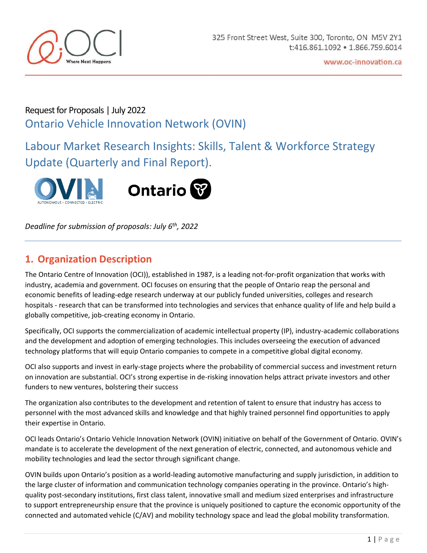

# Request for Proposals | July 2022 Ontario Vehicle Innovation Network (OVIN)

Labour Market Research Insights: Skills, Talent & Workforce Strategy Update (Quarterly and Final Report).



*Deadline for submission of proposals: July 6 th , 2022*

# **1. Organization Description**

The Ontario Centre of Innovation (OCI)), established in 1987, is a leading not-for-profit organization that works with industry, academia and government. OCI focuses on ensuring that the people of Ontario reap the personal and economic benefits of leading-edge research underway at our publicly funded universities, colleges and research hospitals - research that can be transformed into technologies and services that enhance quality of life and help build a globally competitive, job-creating economy in Ontario.

Specifically, OCI supports the commercialization of academic intellectual property (IP), industry-academic collaborations and the development and adoption of emerging technologies. This includes overseeing the execution of advanced technology platforms that will equip Ontario companies to compete in a competitive global digital economy.

OCI also supports and invest in early-stage projects where the probability of commercial success and investment return on innovation are substantial. OCI's strong expertise in de-risking innovation helps attract private investors and other funders to new ventures, bolstering their success

The organization also contributes to the development and retention of talent to ensure that industry has access to personnel with the most advanced skills and knowledge and that highly trained personnel find opportunities to apply their expertise in Ontario.

OCI leads Ontario's Ontario Vehicle Innovation Network (OVIN) initiative on behalf of the Government of Ontario. OVIN's mandate is to accelerate the development of the next generation of electric, connected, and autonomous vehicle and mobility technologies and lead the sector through significant change.

OVIN builds upon Ontario's position as a world-leading automotive manufacturing and supply jurisdiction, in addition to the large cluster of information and communication technology companies operating in the province. Ontario's highquality post-secondary institutions, first class talent, innovative small and medium sized enterprises and infrastructure to support entrepreneurship ensure that the province is uniquely positioned to capture the economic opportunity of the connected and automated vehicle (C/AV) and mobility technology space and lead the global mobility transformation.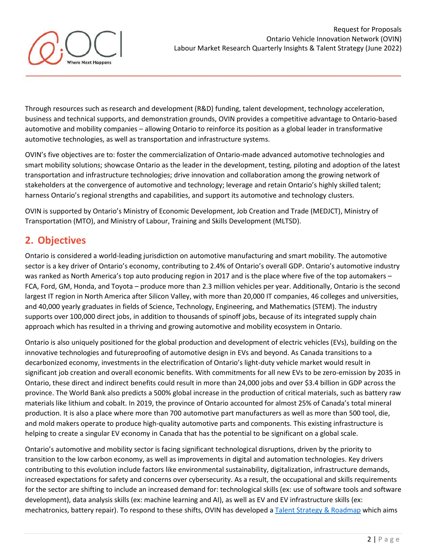

Through resources such as research and development (R&D) funding, talent development, technology acceleration, business and technical supports, and demonstration grounds, OVIN provides a competitive advantage to Ontario-based automotive and mobility companies – allowing Ontario to reinforce its position as a global leader in transformative automotive technologies, as well as transportation and infrastructure systems.

OVIN's five objectives are to: foster the commercialization of Ontario-made advanced automotive technologies and smart mobility solutions; showcase Ontario as the leader in the development, testing, piloting and adoption of the latest transportation and infrastructure technologies; drive innovation and collaboration among the growing network of stakeholders at the convergence of automotive and technology; leverage and retain Ontario's highly skilled talent; harness Ontario's regional strengths and capabilities, and support its automotive and technology clusters.

OVIN is supported by Ontario's Ministry of Economic Development, Job Creation and Trade (MEDJCT), Ministry of Transportation (MTO), and Ministry of Labour, Training and Skills Development (MLTSD).

# **2. Objectives**

Ontario is considered a world-leading jurisdiction on automotive manufacturing and smart mobility. The automotive sector is a key driver of Ontario's economy, contributing to 2.4% of Ontario's overall GDP. Ontario's automotive industry was ranked as North America's top auto producing region in 2017 and is the place where five of the top automakers – FCA, Ford, GM, Honda, and Toyota – produce more than 2.3 million vehicles per year. Additionally, Ontario is the second largest IT region in North America after Silicon Valley, with more than 20,000 IT companies, 46 colleges and universities, and 40,000 yearly graduates in fields of Science, Technology, Engineering, and Mathematics (STEM). The industry supports over 100,000 direct jobs, in addition to thousands of spinoff jobs, because of its integrated supply chain approach which has resulted in a thriving and growing automotive and mobility ecosystem in Ontario.

Ontario is also uniquely positioned for the global production and development of electric vehicles (EVs), building on the innovative technologies and futureproofing of automotive design in EVs and beyond. As Canada transitions to a decarbonized economy, investments in the electrification of Ontario's light-duty vehicle market would result in significant job creation and overall economic benefits. With commitments for all new EVs to be zero-emission by 2035 in Ontario, these direct and indirect benefits could result in more than 24,000 jobs and over \$3.4 billion in GDP across the province. The World Bank also predicts a 500% global increase in the production of critical materials, such as battery raw materials like lithium and cobalt. In 2019, the province of Ontario accounted for almost 25% of Canada's total mineral production. It is also a place where more than 700 automotive part manufacturers as well as more than 500 tool, die, and mold makers operate to produce high-quality automotive parts and components. This existing infrastructure is helping to create a singular EV economy in Canada that has the potential to be significant on a global scale.

Ontario's automotive and mobility sector is facing significant technological disruptions, driven by the priority to transition to the low carbon economy, as well as improvements in digital and automation technologies. Key drivers contributing to this evolution include factors like environmental sustainability, digitalization, infrastructure demands, increased expectations for safety and concerns over cybersecurity. As a result, the occupational and skills requirements for the sector are shifting to include an increased demand for: technological skills (ex: use of software tools and software development), data analysis skills (ex: machine learning and AI), as well as EV and EV infrastructure skills (ex: mechatronics, battery repair). To respond to these shifts, OVIN has developed [a Talent Strategy & Roadmap](https://ovin-navigator.ca/wp-content/uploads/2022/01/OVIN_TalentStrategyRoadmap-English-2021.12.17-FINAL-ua.pdf) which aims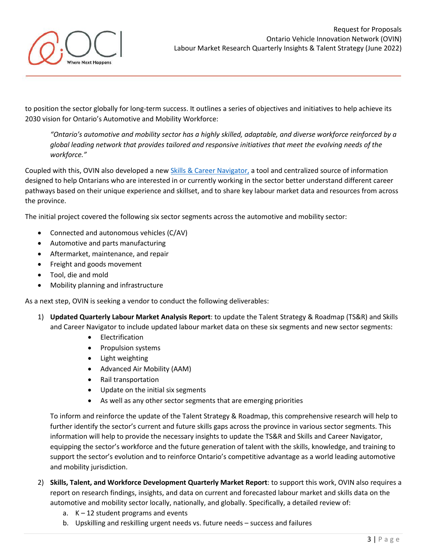

to position the sector globally for long-term success. It outlines a series of objectives and initiatives to help achieve its 2030 vision for Ontario's Automotive and Mobility Workforce:

*"Ontario's automotive and mobility sector has a highly skilled, adaptable, and diverse workforce reinforced by a global leading network that provides tailored and responsive initiatives that meet the evolving needs of the workforce."*

Coupled with this, OVIN also developed a ne[w Skills & Career Navigator,](https://ovin-navigator.ca/) a tool and centralized source of information designed to help Ontarians who are interested in or currently working in the sector better understand different career pathways based on their unique experience and skillset, and to share key labour market data and resources from across the province.

The initial project covered the following six sector segments across the automotive and mobility sector:

- Connected and autonomous vehicles (C/AV)
- Automotive and parts manufacturing
- Aftermarket, maintenance, and repair
- Freight and goods movement
- Tool, die and mold
- Mobility planning and infrastructure

As a next step, OVIN is seeking a vendor to conduct the following deliverables:

- 1) **Updated Quarterly Labour Market Analysis Report**: to update the Talent Strategy & Roadmap (TS&R) and Skills and Career Navigator to include updated labour market data on these six segments and new sector segments:
	- Electrification
	- Propulsion systems
	- Light weighting
	- Advanced Air Mobility (AAM)
	- Rail transportation
	- Update on the initial six segments
	- As well as any other sector segments that are emerging priorities

To inform and reinforce the update of the Talent Strategy & Roadmap, this comprehensive research will help to further identify the sector's current and future skills gaps across the province in various sector segments. This information will help to provide the necessary insights to update the TS&R and Skills and Career Navigator, equipping the sector's workforce and the future generation of talent with the skills, knowledge, and training to support the sector's evolution and to reinforce Ontario's competitive advantage as a world leading automotive and mobility jurisdiction.

- 2) **Skills, Talent, and Workforce Development Quarterly Market Report**: to support this work, OVIN also requires a report on research findings, insights, and data on current and forecasted labour market and skills data on the automotive and mobility sector locally, nationally, and globally. Specifically, a detailed review of:
	- a.  $K 12$  student programs and events
	- b. Upskilling and reskilling urgent needs vs. future needs success and failures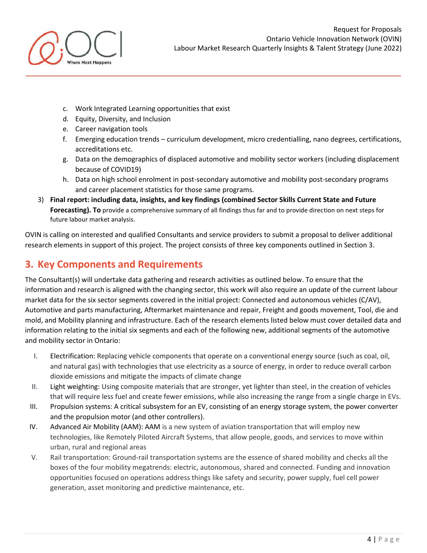

- c. Work Integrated Learning opportunities that exist
- d. Equity, Diversity, and Inclusion
- e. Career navigation tools
- f. Emerging education trends curriculum development, micro credentialling, nano degrees, certifications, accreditations etc.
- g. Data on the demographics of displaced automotive and mobility sector workers (including displacement because of COVID19)
- h. Data on high school enrolment in post-secondary automotive and mobility post-secondary programs and career placement statistics for those same programs.
- 3) **Final report: including data, insights, and key findings (combined Sector Skills Current State and Future Forecasting). To** provide a comprehensive summary of all findings thus far and to provide direction on next steps for future labour market analysis.

OVIN is calling on interested and qualified Consultants and service providers to submit a proposal to deliver additional research elements in support of this project. The project consists of three key components outlined in Section 3.

# **3. Key Components and Requirements**

The Consultant(s) will undertake data gathering and research activities as outlined below. To ensure that the information and research is aligned with the changing sector, this work will also require an update of the current labour market data for the six sector segments covered in the initial project: Connected and autonomous vehicles (C/AV), Automotive and parts manufacturing, Aftermarket maintenance and repair, Freight and goods movement, Tool, die and mold, and Mobility planning and infrastructure. Each of the research elements listed below must cover detailed data and information relating to the initial six segments and each of the following new, additional segments of the automotive and mobility sector in Ontario:

- I. Electrification: Replacing vehicle components that operate on a conventional energy source (such as coal, oil, and natural gas) with technologies that use electricity as a source of energy, in order to reduce overall carbon dioxide emissions and mitigate the impacts of climate change
- II. Light weighting: Using composite materials that are stronger, yet lighter than steel, in the creation of vehicles that will require less fuel and create fewer emissions, while also increasing the range from a single charge in EVs.
- III. Propulsion systems: A critical subsystem for an EV, consisting of an energy storage system, the power converter and the propulsion motor (and other controllers).
- IV. Advanced Air Mobility (AAM): AAM is a new system of aviation transportation that will employ new technologies, like Remotely Piloted Aircraft Systems, that allow people, goods, and services to move within urban, rural and regional areas
- V. Rail transportation: Ground-rail transportation systems are the essence of shared mobility and checks all the boxes of the four mobility megatrends: electric, autonomous, shared and connected. Funding and innovation opportunities focused on operations address things like safety and security, power supply, fuel cell power generation, asset monitoring and predictive maintenance, etc.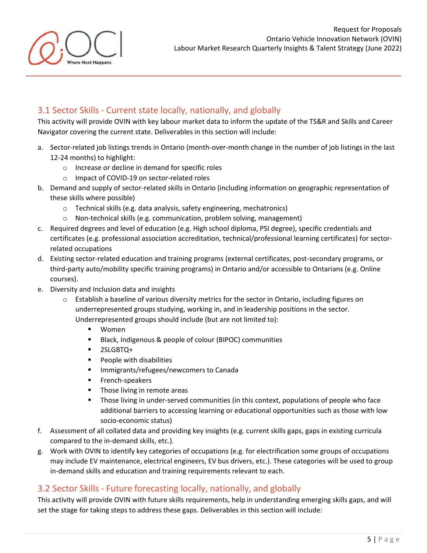## 3.1 Sector Skills - Current state locally, nationally, and globally

This activity will provide OVIN with key labour market data to inform the update of the TS&R and Skills and Career Navigator covering the current state. Deliverables in this section will include:

- a. Sector-related job listings trends in Ontario (month-over-month change in the number of job listings in the last 12-24 months) to highlight:
	- o Increase or decline in demand for specific roles
	- o Impact of COVID-19 on sector-related roles
- b. Demand and supply of sector-related skills in Ontario (including information on geographic representation of these skills where possible)
	- o Technical skills (e.g. data analysis, safety engineering, mechatronics)
	- o Non-technical skills (e.g. communication, problem solving, management)
- c. Required degrees and level of education (e.g. High school diploma, PSI degree), specific credentials and certificates (e.g. professional association accreditation, technical/professional learning certificates) for sectorrelated occupations
- d. Existing sector-related education and training programs (external certificates, post-secondary programs, or third-party auto/mobility specific training programs) in Ontario and/or accessible to Ontarians (e.g. Online courses).
- e. Diversity and Inclusion data and insights

here Nevt Honnens

- $\circ$  Establish a baseline of various diversity metrics for the sector in Ontario, including figures on underrepresented groups studying, working in, and in leadership positions in the sector. Underrepresented groups should include (but are not limited to):
	- Women
	- Black, Indigenous & people of colour (BIPOC) communities
	- 2SLGBTQ+
	- People with disabilities
	- Immigrants/refugees/newcomers to Canada
	- **■** French-speakers
	- Those living in remote areas
	- Those living in under-served communities (in this context, populations of people who face additional barriers to accessing learning or educational opportunities such as those with low socio-economic status)
- f. Assessment of all collated data and providing key insights (e.g. current skills gaps, gaps in existing curricula compared to the in-demand skills, etc.).
- g. Work with OVIN to identify key categories of occupations (e.g. for electrification some groups of occupations may include EV maintenance, electrical engineers, EV bus drivers, etc.). These categories will be used to group in-demand skills and education and training requirements relevant to each.

### 3.2 Sector Skills - Future forecasting locally, nationally, and globally

This activity will provide OVIN with future skills requirements, help in understanding emerging skills gaps, and will set the stage for taking steps to address these gaps. Deliverables in this section will include: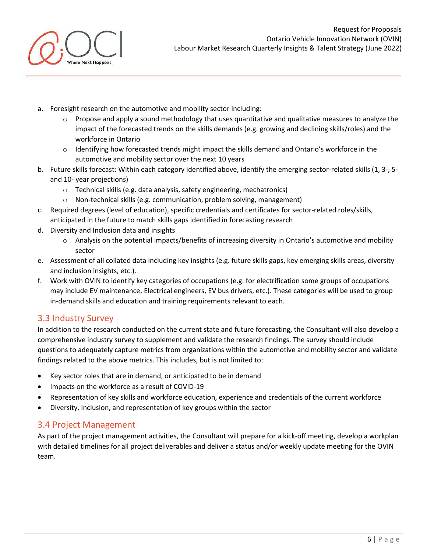

- a. Foresight research on the automotive and mobility sector including:
	- $\circ$  Propose and apply a sound methodology that uses quantitative and qualitative measures to analyze the impact of the forecasted trends on the skills demands (e.g. growing and declining skills/roles) and the workforce in Ontario
	- o Identifying how forecasted trends might impact the skills demand and Ontario's workforce in the automotive and mobility sector over the next 10 years
- b. Future skills forecast: Within each category identified above, identify the emerging sector-related skills (1, 3-, 5 and 10- year projections)
	- o Technical skills (e.g. data analysis, safety engineering, mechatronics)
	- o Non-technical skills (e.g. communication, problem solving, management)
- c. Required degrees (level of education), specific credentials and certificates for sector-related roles/skills, anticipated in the future to match skills gaps identified in forecasting research
- d. Diversity and Inclusion data and insights
	- o Analysis on the potential impacts/benefits of increasing diversity in Ontario's automotive and mobility sector
- e. Assessment of all collated data including key insights (e.g. future skills gaps, key emerging skills areas, diversity and inclusion insights, etc.).
- f. Work with OVIN to identify key categories of occupations (e.g. for electrification some groups of occupations may include EV maintenance, Electrical engineers, EV bus drivers, etc.). These categories will be used to group in-demand skills and education and training requirements relevant to each.

### 3.3 Industry Survey

In addition to the research conducted on the current state and future forecasting, the Consultant will also develop a comprehensive industry survey to supplement and validate the research findings. The survey should include questions to adequately capture metrics from organizations within the automotive and mobility sector and validate findings related to the above metrics. This includes, but is not limited to:

- Key sector roles that are in demand, or anticipated to be in demand
- Impacts on the workforce as a result of COVID-19
- Representation of key skills and workforce education, experience and credentials of the current workforce
- Diversity, inclusion, and representation of key groups within the sector

### 3.4 Project Management

As part of the project management activities, the Consultant will prepare for a kick-off meeting, develop a workplan with detailed timelines for all project deliverables and deliver a status and/or weekly update meeting for the OVIN team.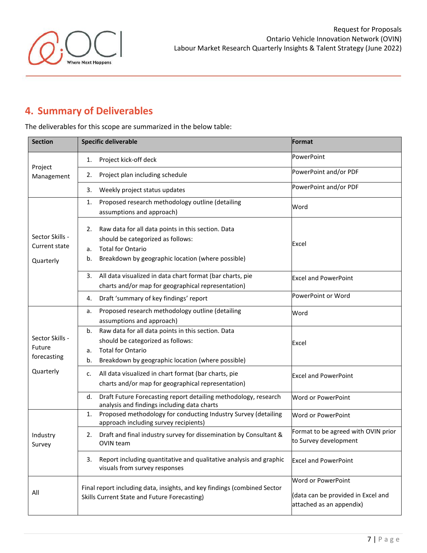

# **4. Summary of Deliverables**

The deliverables for this scope are summarized in the below table:

| <b>Section</b>                                        | <b>Specific deliverable</b>                                                                                                                                                                | Format                                                                               |
|-------------------------------------------------------|--------------------------------------------------------------------------------------------------------------------------------------------------------------------------------------------|--------------------------------------------------------------------------------------|
| Project<br>Management                                 | Project kick-off deck<br>1.                                                                                                                                                                | PowerPoint                                                                           |
|                                                       | Project plan including schedule<br>2.                                                                                                                                                      | PowerPoint and/or PDF                                                                |
|                                                       | Weekly project status updates<br>3.                                                                                                                                                        | PowerPoint and/or PDF                                                                |
|                                                       | Proposed research methodology outline (detailing<br>1.<br>assumptions and approach)                                                                                                        | Word                                                                                 |
| Sector Skills -<br>Current state<br>Quarterly         | Raw data for all data points in this section. Data<br>2.<br>should be categorized as follows:<br><b>Total for Ontario</b><br>a.<br>Breakdown by geographic location (where possible)<br>b. | Excel                                                                                |
|                                                       | All data visualized in data chart format (bar charts, pie<br>3.<br>charts and/or map for geographical representation)                                                                      | <b>Excel and PowerPoint</b>                                                          |
|                                                       | Draft 'summary of key findings' report<br>4.                                                                                                                                               | PowerPoint or Word                                                                   |
| Sector Skills -<br>Future<br>forecasting<br>Quarterly | Proposed research methodology outline (detailing<br>a.<br>assumptions and approach)                                                                                                        | Word                                                                                 |
|                                                       | Raw data for all data points in this section. Data<br>b.<br>should be categorized as follows:<br><b>Total for Ontario</b><br>a.<br>Breakdown by geographic location (where possible)<br>b. | Excel                                                                                |
|                                                       | All data visualized in chart format (bar charts, pie<br>c.<br>charts and/or map for geographical representation)                                                                           | <b>Excel and PowerPoint</b>                                                          |
|                                                       | Draft Future Forecasting report detailing methodology, research<br>d.<br>analysis and findings including data charts                                                                       | Word or PowerPoint                                                                   |
| Industry<br>Survey                                    | Proposed methodology for conducting Industry Survey (detailing<br>1.<br>approach including survey recipients)                                                                              | Word or PowerPoint                                                                   |
|                                                       | Draft and final industry survey for dissemination by Consultant &<br>2.<br>OVIN team                                                                                                       | Format to be agreed with OVIN prior<br>to Survey development                         |
|                                                       | Report including quantitative and qualitative analysis and graphic<br>3.<br>visuals from survey responses                                                                                  | <b>Excel and PowerPoint</b>                                                          |
| All                                                   | Final report including data, insights, and key findings (combined Sector<br>Skills Current State and Future Forecasting)                                                                   | Word or PowerPoint<br>(data can be provided in Excel and<br>attached as an appendix) |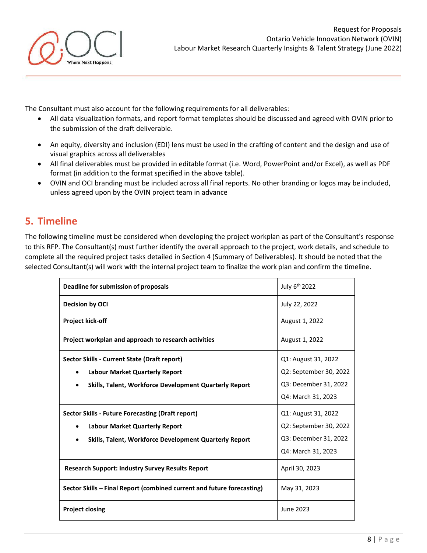

The Consultant must also account for the following requirements for all deliverables:

- All data visualization formats, and report format templates should be discussed and agreed with OVIN prior to the submission of the draft deliverable.
- An equity, diversity and inclusion (EDI) lens must be used in the crafting of content and the design and use of visual graphics across all deliverables
- All final deliverables must be provided in editable format (i.e. Word, PowerPoint and/or Excel), as well as PDF format (in addition to the format specified in the above table).
- OVIN and OCI branding must be included across all final reports. No other branding or logos may be included, unless agreed upon by the OVIN project team in advance

# **5. Timeline**

The following timeline must be considered when developing the project workplan as part of the Consultant's response to this RFP. The Consultant(s) must further identify the overall approach to the project, work details, and schedule to complete all the required project tasks detailed in Section 4 (Summary of Deliverables). It should be noted that the selected Consultant(s) will work with the internal project team to finalize the work plan and confirm the timeline.

| Deadline for submission of proposals                                   | July 6 <sup>th</sup> 2022 |
|------------------------------------------------------------------------|---------------------------|
| <b>Decision by OCI</b>                                                 | July 22, 2022             |
| <b>Project kick-off</b>                                                | August 1, 2022            |
| Project workplan and approach to research activities                   | August 1, 2022            |
| Sector Skills - Current State (Draft report)                           | Q1: August 31, 2022       |
| <b>Labour Market Quarterly Report</b>                                  | Q2: September 30, 2022    |
| <b>Skills, Talent, Workforce Development Quarterly Report</b>          | Q3: December 31, 2022     |
|                                                                        | Q4: March 31, 2023        |
| <b>Sector Skills - Future Forecasting (Draft report)</b>               | Q1: August 31, 2022       |
| <b>Labour Market Quarterly Report</b>                                  | Q2: September 30, 2022    |
| <b>Skills, Talent, Workforce Development Quarterly Report</b>          | Q3: December 31, 2022     |
|                                                                        | Q4: March 31, 2023        |
| <b>Research Support: Industry Survey Results Report</b>                | April 30, 2023            |
| Sector Skills - Final Report (combined current and future forecasting) | May 31, 2023              |
| <b>Project closing</b>                                                 | June 2023                 |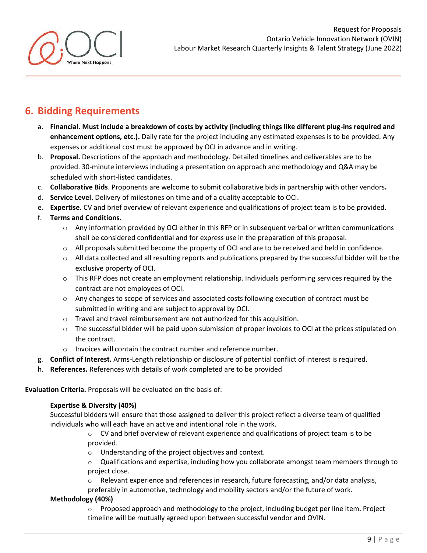

# **6. Bidding Requirements**

- a. **Financial. Must include a breakdown of costs by activity (including things like different plug-ins required and enhancement options, etc.).** Daily rate for the project including any estimated expenses is to be provided. Any expenses or additional cost must be approved by OCI in advance and in writing.
- b. **Proposal.** Descriptions of the approach and methodology. Detailed timelines and deliverables are to be provided. 30-minute interviews including a presentation on approach and methodology and Q&A may be scheduled with short-listed candidates.
- c. **Collaborative Bids**. Proponents are welcome to submit collaborative bids in partnership with other vendors**.**
- d. **Service Level.** Delivery of milestones on time and of a quality acceptable to OCI.
- e. **Expertise.** CV and brief overview of relevant experience and qualifications of project team is to be provided.
- f. **Terms and Conditions.**
	- $\circ$  Any information provided by OCI either in this RFP or in subsequent verbal or written communications shall be considered confidential and for express use in the preparation of this proposal.
	- o All proposals submitted become the property of OCI and are to be received and held in confidence.
	- $\circ$  All data collected and all resulting reports and publications prepared by the successful bidder will be the exclusive property of OCI.
	- $\circ$  This RFP does not create an employment relationship. Individuals performing services required by the contract are not employees of OCI.
	- o Any changes to scope of services and associated costs following execution of contract must be submitted in writing and are subject to approval by OCI.
	- o Travel and travel reimbursement are not authorized for this acquisition.
	- $\circ$  The successful bidder will be paid upon submission of proper invoices to OCI at the prices stipulated on the contract.
	- o Invoices will contain the contract number and reference number.
- g. **Conflict of Interest.** Arms-Length relationship or disclosure of potential conflict of interest is required.
- h. **References.** References with details of work completed are to be provided

**Evaluation Criteria.** Proposals will be evaluated on the basis of:

### **Expertise & Diversity (40%)**

Successful bidders will ensure that those assigned to deliver this project reflect a diverse team of qualified individuals who will each have an active and intentional role in the work.

> $\circ$  CV and brief overview of relevant experience and qualifications of project team is to be provided.

o Understanding of the project objectives and context.

 $\circ$  Qualifications and expertise, including how you collaborate amongst team members through to project close.

o Relevant experience and references in research, future forecasting, and/or data analysis,

preferably in automotive, technology and mobility sectors and/or the future of work.

### **Methodology (40%)**

 $\circ$  Proposed approach and methodology to the project, including budget per line item. Project timeline will be mutually agreed upon between successful vendor and OVIN.